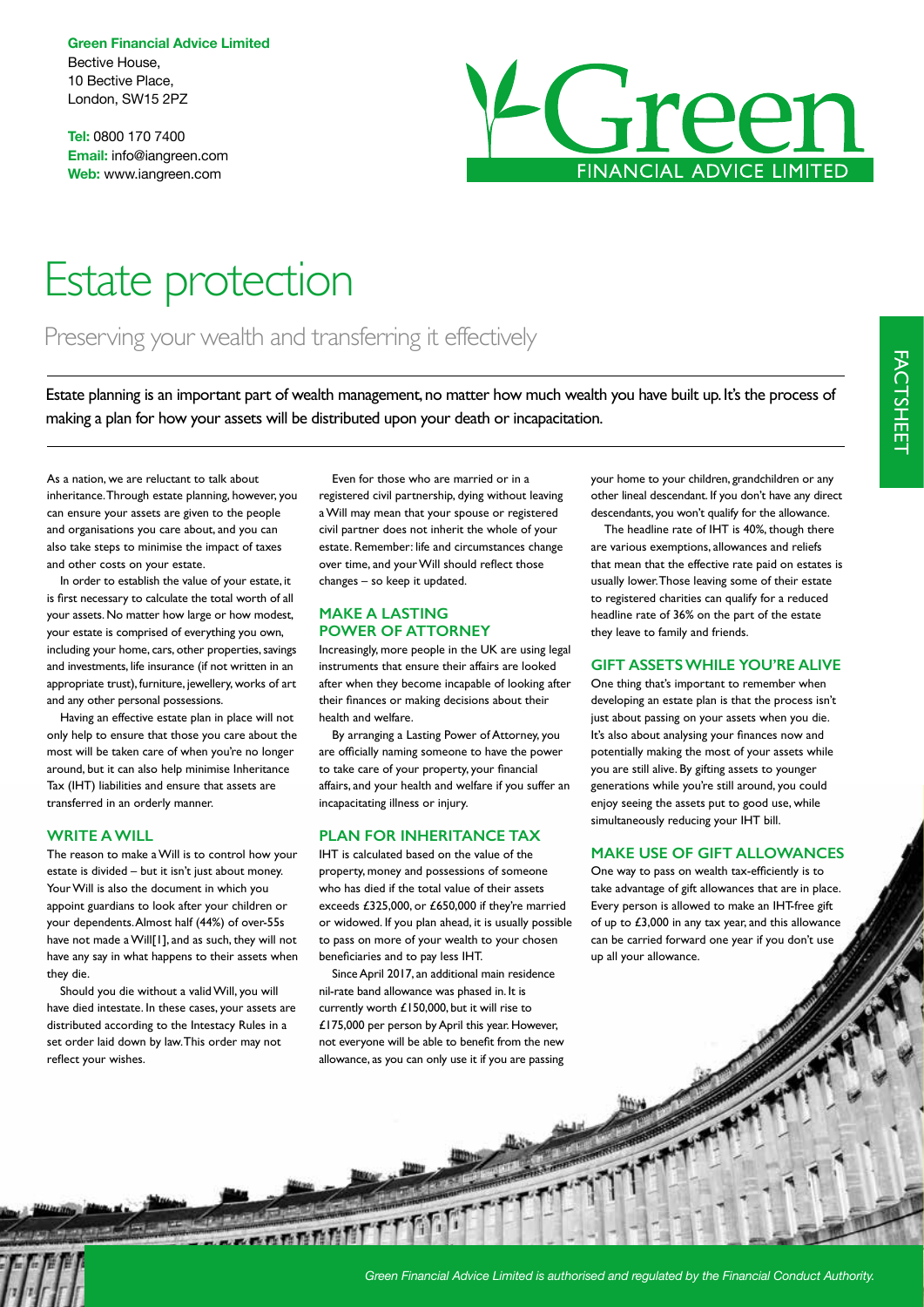**Green Financial Advice Limited** Bective House, 10 Bective Place, London, SW15 2PZ

**Tel:** 0800 170 7400 **Email:** info@iangreen.com **Web:** www.iangreen.com



# Estate protection

# Preserving your wealth and transferring it effectively

Estate planning is an important part of wealth management, no matter how much wealth you have built up. It's the process of making a plan for how your assets will be distributed upon your death or incapacitation.

As a nation, we are reluctant to talk about inheritance. Through estate planning, however, you can ensure your assets are given to the people and organisations you care about, and you can also take steps to minimise the impact of taxes and other costs on your estate.

In order to establish the value of your estate, it is frst necessary to calculate the total worth of all your assets. No matter how large or how modest, your estate is comprised of everything you own, including your home, cars, other properties, savings and investments, life insurance (if not written in an appropriate trust), furniture, jewellery, works of art and any other personal possessions.

Having an effective estate plan in place will not only help to ensure that those you care about the most will be taken care of when you're no longer around, but it can also help minimise Inheritance Tax (IHT) liabilities and ensure that assets are transferred in an orderly manner.

#### **WRITE A WILL**

The reason to make a Will is to control how your estate is divided – but it isn't just about money. Your Will is also the document in which you appoint guardians to look after your children or your dependents. Almost half (44%) of over-55s have not made a Will[1], and as such, they will not have any say in what happens to their assets when they die.

Should you die without a valid Will, you will have died intestate. In these cases, your assets are distributed according to the Intestacy Rules in a set order laid down by law. This order may not reflect your wishes.

Even for those who are married or in a registered civil partnership, dying without leaving a Will may mean that your spouse or registered civil partner does not inherit the whole of your estate. Remember: life and circumstances change over time, and your Will should refect those changes – so keep it updated.

# **MAKE A LASTING POWER OF ATTORNEY**

Increasingly, more people in the UK are using legal instruments that ensure their affairs are looked after when they become incapable of looking after their fnances or making decisions about their health and welfare.

By arranging a Lasting Power of Attorney, you are officially naming someone to have the power to take care of your property, your fnancial affairs, and your health and welfare if you suffer an incapacitating illness or injury.

## **PLAN FOR INHERITANCE TAX**

IHT is calculated based on the value of the property, money and possessions of someone who has died if the total value of their assets exceeds £325,000, or £650,000 if they're married or widowed. If you plan ahead, it is usually possible to pass on more of your wealth to your chosen benefciaries and to pay less IHT.

Since April 2017, an additional main residence nil-rate band allowance was phased in. It is currently worth £150,000, but it will rise to £175,000 per person by April this year. However, not everyone will be able to beneft from the new allowance, as you can only use it if you are passing your home to your children, grandchildren or any other lineal descendant. If you don't have any direct descendants, you won't qualify for the allowance.

The headline rate of IHT is 40%, though there are various exemptions, allowances and reliefs that mean that the effective rate paid on estates is usually lower. Those leaving some of their estate to registered charities can qualify for a reduced headline rate of 36% on the part of the estate they leave to family and friends.

#### **GIFT ASSETS WHILE YOU'RE ALIVE**

One thing that's important to remember when developing an estate plan is that the process isn't just about passing on your assets when you die. It's also about analysing your fnances now and potentially making the most of your assets while you are still alive. By gifting assets to younger generations while you're still around, you could enjoy seeing the assets put to good use, while simultaneously reducing your IHT bill.

## **MAKE USE OF GIFT ALLOWANCES**

One way to pass on wealth tax-effciently is to take advantage of gift allowances that are in place. Every person is allowed to make an IHT-free gift of up to £3,000 in any tax year, and this allowance can be carried forward one year if you don't use up all your allowance.